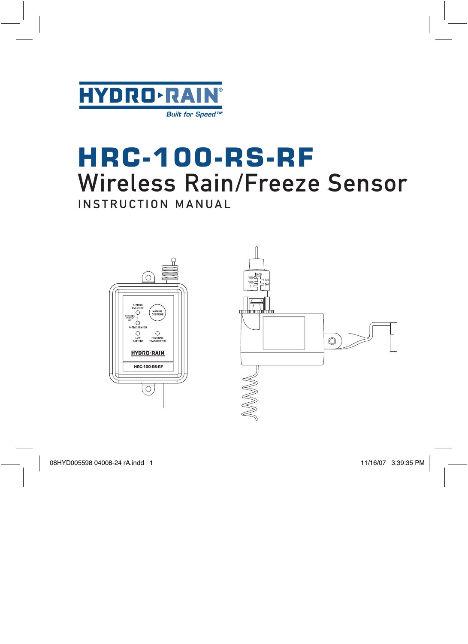

# **HRC-100-RS-RF** Wireless Rain/Freeze Sensor

INSTRUCTION MANUAL

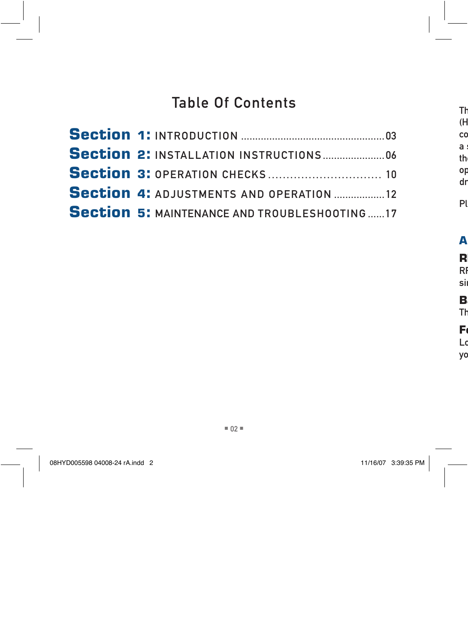# Table Of Contents

| <b>Section 3: OPERATION CHECKS</b> 10               |  |
|-----------------------------------------------------|--|
| <b>Section 4: ADJUSTMENTS AND OPERATION 12</b>      |  |
| <b>Section 5: MAINTENANCE AND TROUBLESHOOTING17</b> |  |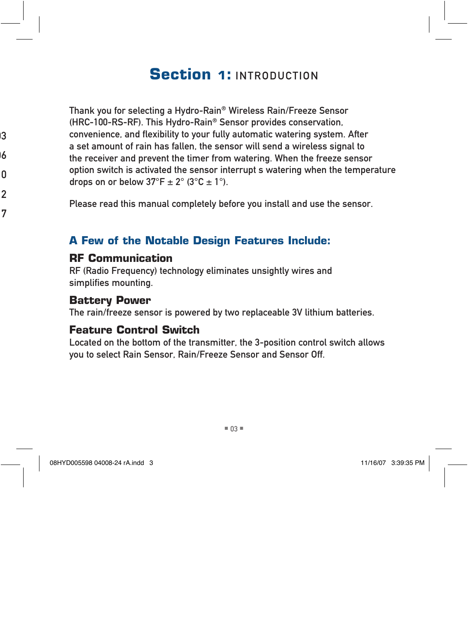# **Section 1: INTRODUCTION**

Thank you for selecting a Hydro-Rain® Wireless Rain/Freeze Sensor (HRC-100-RS-RF). This Hydro-Rain® Sensor provides conservation, convenience, and flexibility to your fully automatic watering system. After a set amount of rain has fallen, the sensor will send a wireless signal to the receiver and prevent the timer from watering. When the freeze sensor option switch is activated the sensor interrupt s watering when the temperature drops on or below  $37^{\circ}F \pm 2^{\circ}$  (3 $^{\circ}C \pm 1^{\circ}$ ).

Please read this manual completely before you install and use the sensor.

### **A Few of the Notable Design Features Include:**

#### **RF Communication**

RF (Radio Frequency) technology eliminates unsightly wires and simplifies mounting.

#### **Battery Power**

The rain/freeze sensor is powered by two replaceable 3V lithium batteries.

### **Feature Control Switch**

Located on the bottom of the transmitter, the 3-position control switch allows you to select Rain Sensor, Rain/Freeze Sensor and Sensor Off.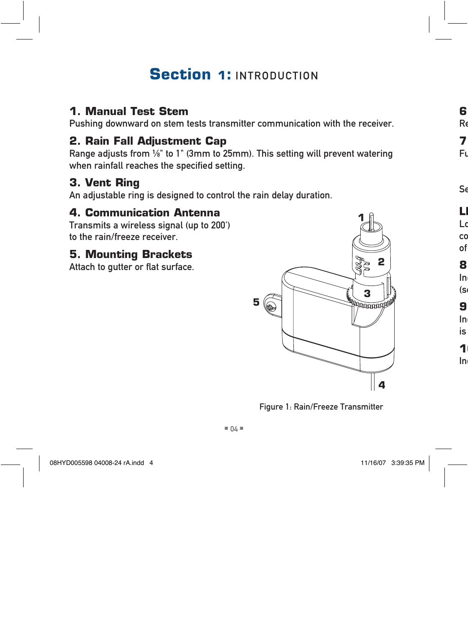# **Section 1: INTRODUCTION**

### **1. Manual Test Stem**

Pushing downward on stem tests transmitter communication with the receiver.

### **2. Rain Fall Adjustment Cap**

Range adjusts from  $\frac{1}{8}$ " to 1" (3mm to 25mm). This setting will prevent watering when rainfall reaches the specified setting.

## **3. Vent Ring**

An adjustable ring is designed to control the rain delay duration.

### **4. Communication Antenna**

Transmits a wireless signal (up to 200') to the rain/freeze receiver.

# **5. Mounting Brackets**

Attach to gutter or flat surface.



Figure 1: Rain/Freeze Transmitter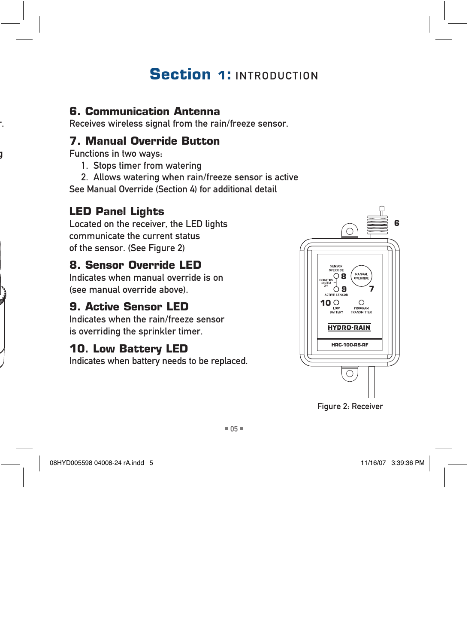# **Section 1: INTRODUCTION**

### **6. Communication Antenna**

Receives wireless signal from the rain/freeze sensor.

### **7. Manual Override Button**

Functions in two ways:

- 1. Stops timer from watering
- 2. Allows watering when rain/freeze sensor is active See Manual Override (Section 4) for additional detail

# **LED Panel Lights**

Located on the receiver, the LED lights communicate the current status of the sensor. (See Figure 2)

# **8. Sensor Override LED**

Indicates when manual override is on (see manual override above).

# **9. Active Sensor LED**

Indicates when the rain/freeze sensor is overriding the sprinkler timer.

# **10. Low Battery LED**

Indicates when battery needs to be replaced.



Figure 2: Receiver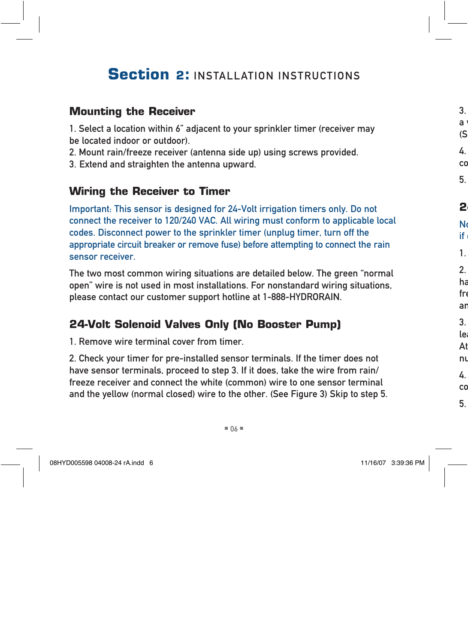#### **Mounting the Receiver**

1. Select a location within 6" adjacent to your sprinkler timer (receiver may be located indoor or outdoor).

- 2. Mount rain/freeze receiver (antenna side up) using screws provided.
- 3. Extend and straighten the antenna upward.

#### **Wiring the Receiver to Timer**

Important: This sensor is designed for 24-Volt irrigation timers only. Do not connect the receiver to 120/240 VAC. All wiring must conform to applicable local codes. Disconnect power to the sprinkler timer (unplug timer, turn off the appropriate circuit breaker or remove fuse) before attempting to connect the rain sensor receiver.

The two most common wiring situations are detailed below. The green "normal open" wire is not used in most installations. For nonstandard wiring situations, please contact our customer support hotline at 1-888-HYDRORAIN.

### **24-Volt Solenoid Valves Only (No Booster Pump)**

1. Remove wire terminal cover from timer.

2. Check your timer for pre-installed sensor terminals. If the timer does not have sensor terminals, proceed to step 3. If it does, take the wire from rain/ freeze receiver and connect the white (common) wire to one sensor terminal and the yellow (normal closed) wire to the other. (See Figure 3) Skip to step 5.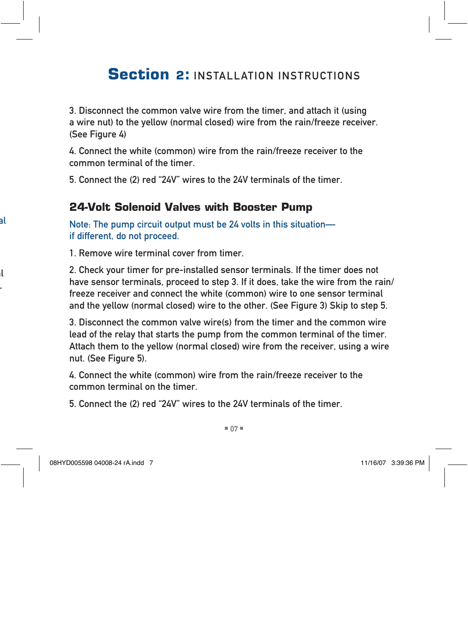3. Disconnect the common valve wire from the timer, and attach it (using a wire nut) to the yellow (normal closed) wire from the rain/freeze receiver. (See Figure 4)

4. Connect the white (common) wire from the rain/freeze receiver to the common terminal of the timer.

5. Connect the (2) red "24V" wires to the 24V terminals of the timer.

#### **24-Volt Solenoid Valves with Booster Pump**

Note: The pump circuit output must be 24 volts in this situation if different, do not proceed.

1. Remove wire terminal cover from timer.

2. Check your timer for pre-installed sensor terminals. If the timer does not have sensor terminals, proceed to step 3. If it does, take the wire from the rain/ freeze receiver and connect the white (common) wire to one sensor terminal and the yellow (normal closed) wire to the other. (See Figure 3) Skip to step 5.

3. Disconnect the common valve wire(s) from the timer and the common wire lead of the relay that starts the pump from the common terminal of the timer. Attach them to the yellow (normal closed) wire from the receiver, using a wire nut. (See Figure 5).

4. Connect the white (common) wire from the rain/freeze receiver to the common terminal on the timer.

5. Connect the (2) red "24V" wires to the 24V terminals of the timer.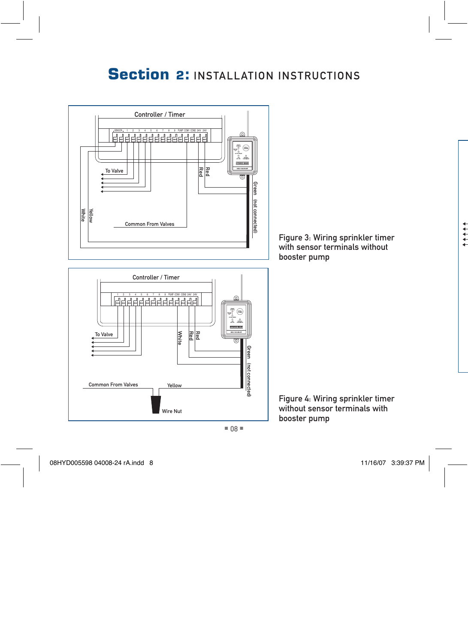





Figure 4: Wiring sprinkler timer without sensor terminals with booster pump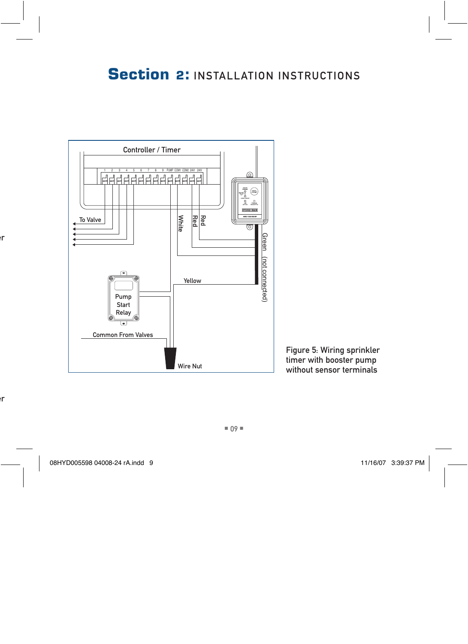

Figure 5: Wiring sprinkler timer with booster pump without sensor terminals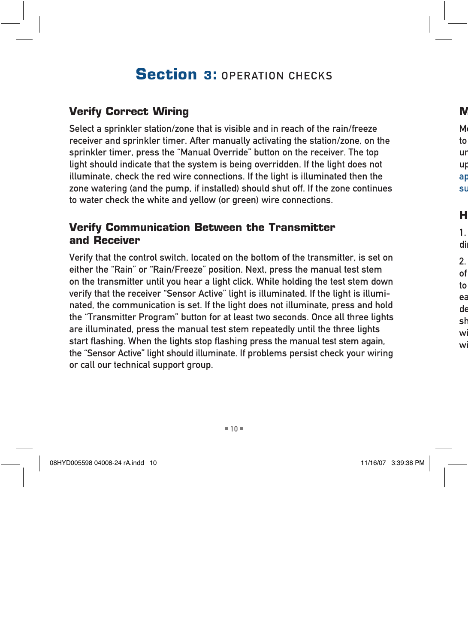# **Section 3: OPERATION CHECKS**

### **Verify Correct Wiring**

Select a sprinkler station/zone that is visible and in reach of the rain/freeze receiver and sprinkler timer. After manually activating the station/zone, on the sprinkler timer, press the "Manual Override" button on the receiver. The top light should indicate that the system is being overridden. If the light does not illuminate, check the red wire connections. If the light is illuminated then the zone watering (and the pump, if installed) should shut off. If the zone continues to water check the white and yellow (or green) wire connections.

### **Verify Communication Between the Transmitter and Receiver**

Verify that the control switch, located on the bottom of the transmitter, is set on either the "Rain" or "Rain/Freeze" position. Next, press the manual test stem on the transmitter until you hear a light click. While holding the test stem down verify that the receiver "Sensor Active" light is illuminated. If the light is illuminated, the communication is set. If the light does not illuminate, press and hold the "Transmitter Program" button for at least two seconds. Once all three lights are illuminated, press the manual test stem repeatedly until the three lights start flashing. When the lights stop flashing press the manual test stem again, the "Sensor Active" light should illuminate. If problems persist check your wiring or call our technical support group.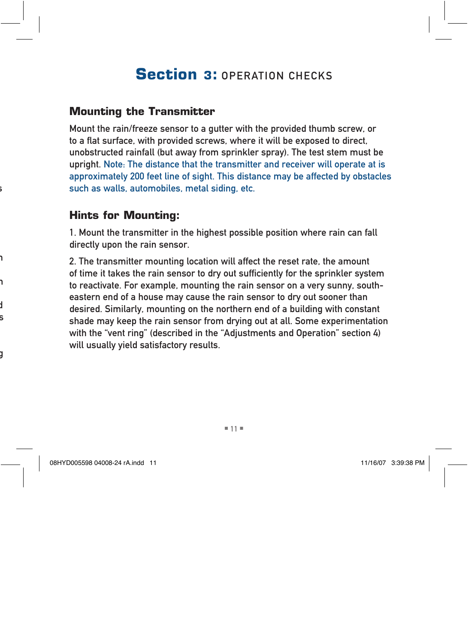# **Section 3: OPERATION CHECKS**

### **Mounting the Transmitter**

Mount the rain/freeze sensor to a gutter with the provided thumb screw, or to a flat surface, with provided screws, where it will be exposed to direct, unobstructed rainfall (but away from sprinkler spray). The test stem must be upright. Note: The distance that the transmitter and receiver will operate at is approximately 200 feet line of sight. This distance may be affected by obstacles such as walls, automobiles, metal siding, etc.

#### **Hints for Mounting:**

1. Mount the transmitter in the highest possible position where rain can fall directly upon the rain sensor.

2. The transmitter mounting location will affect the reset rate, the amount of time it takes the rain sensor to dry out sufficiently for the sprinkler system to reactivate. For example, mounting the rain sensor on a very sunny, southeastern end of a house may cause the rain sensor to dry out sooner than desired. Similarly, mounting on the northern end of a building with constant shade may keep the rain sensor from drying out at all. Some experimentation with the "vent ring" (described in the "Adjustments and Operation" section 4) will usually yield satisfactory results.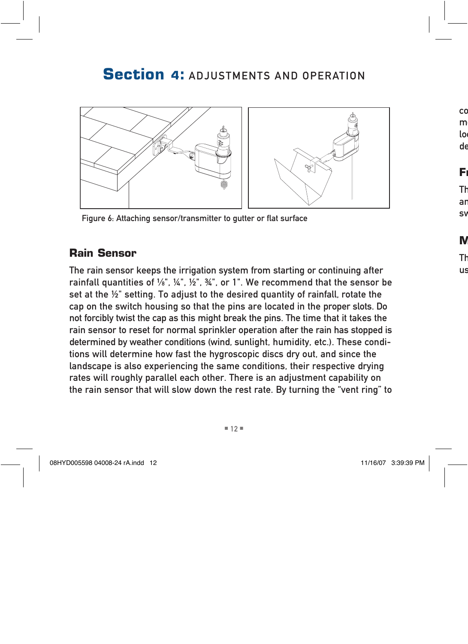

Figure 6: Attaching sensor/transmitter to gutter or flat surface

### **Rain Sensor**

The rain sensor keeps the irrigation system from starting or continuing after rainfall quantities of  $\frac{1}{8}$ ",  $\frac{1}{4}$ ",  $\frac{1}{2}$ ",  $\frac{3}{4}$ ", or 1". We recommend that the sensor be set at the ½" setting. To adjust to the desired quantity of rainfall, rotate the cap on the switch housing so that the pins are located in the proper slots. Do not forcibly twist the cap as this might break the pins. The time that it takes the rain sensor to reset for normal sprinkler operation after the rain has stopped is determined by weather conditions (wind, sunlight, humidity, etc.). These conditions will determine how fast the hygroscopic discs dry out, and since the landscape is also experiencing the same conditions, their respective drying rates will roughly parallel each other. There is an adjustment capability on the rain sensor that will slow down the rest rate. By turning the "vent ring" to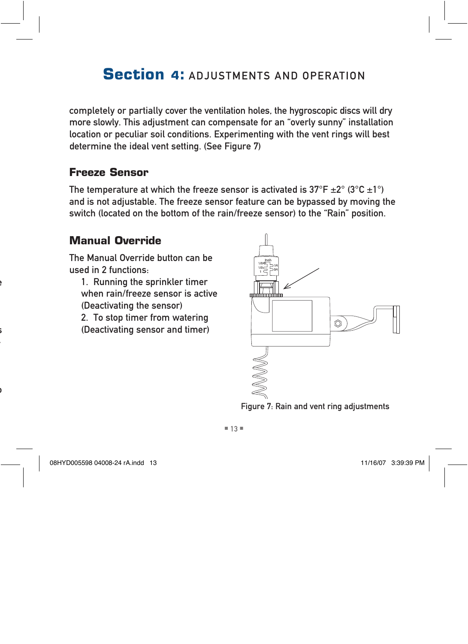completely or partially cover the ventilation holes, the hygroscopic discs will dry more slowly. This adjustment can compensate for an "overly sunny" installation location or peculiar soil conditions. Experimenting with the vent rings will best determine the ideal vent setting. (See Figure 7)

### **Freeze Sensor**

The temperature at which the freeze sensor is activated is  $37^{\circ}F \pm 2^{\circ} (3^{\circ}C \pm 1^{\circ})$ and is not adjustable. The freeze sensor feature can be bypassed by moving the switch (located on the bottom of the rain/freeze sensor) to the "Rain" position.

### **Manual Override**

The Manual Override button can be used in 2 functions:

1. Running the sprinkler timer when rain/freeze sensor is active (Deactivating the sensor)

2. To stop timer from watering (Deactivating sensor and timer)



Figure 7: Rain and vent ring adjustments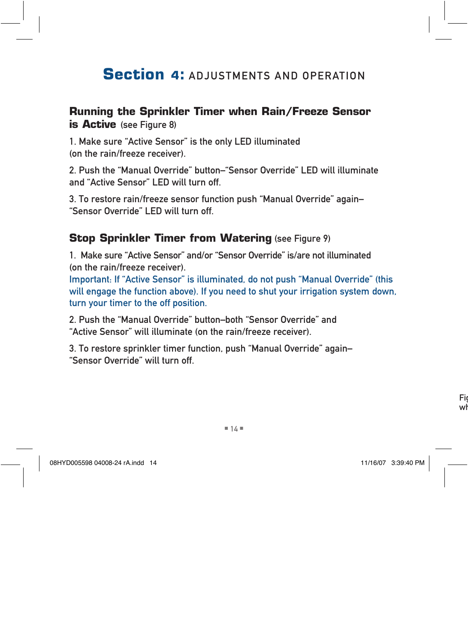#### **Running the Sprinkler Timer when Rain/Freeze Sensor is Active** (see Figure 8)

1. Make sure "Active Sensor" is the only LED illuminated (on the rain/freeze receiver).

2. Push the "Manual Override" button–"Sensor Override" LED will illuminate and "Active Sensor" LED will turn off.

3. To restore rain/freeze sensor function push "Manual Override" again– "Sensor Override" LED will turn off.

#### **Stop Sprinkler Timer from Watering (see Figure 9)**

1. Make sure "Active Sensor" and/or "Sensor Override" is/are not illuminated (on the rain/freeze receiver).

Important: If "Active Sensor" is illuminated, do not push "Manual Override" (this will engage the function above). If you need to shut your irrigation system down, turn your timer to the off position.

2. Push the "Manual Override" button–both "Sensor Override" and "Active Sensor" will illuminate (on the rain/freeze receiver).

3. To restore sprinkler timer function, push "Manual Override" again– "Sensor Override" will turn off.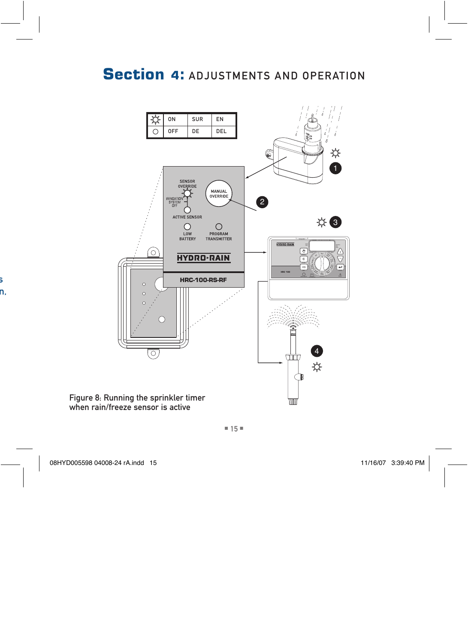

when rain/freeze sensor is active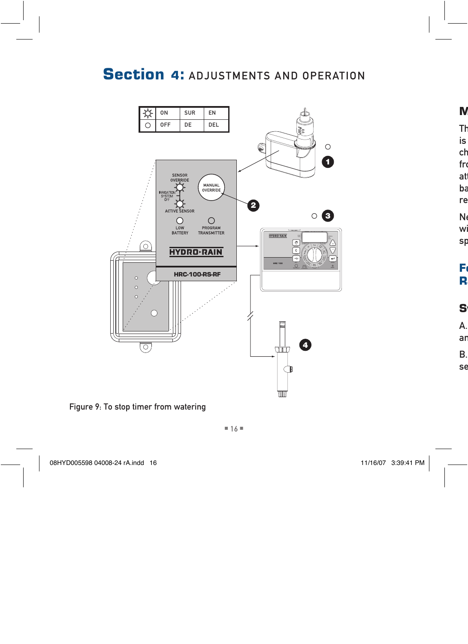

Figure 9: To stop timer from watering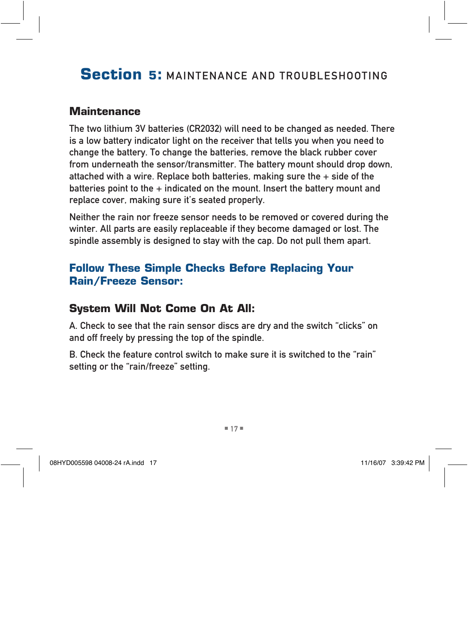# **Section 5:** maintenance and troubleshooting

#### **Maintenance**

The two lithium 3V batteries (CR2032) will need to be changed as needed. There is a low battery indicator light on the receiver that tells you when you need to change the battery. To change the batteries, remove the black rubber cover from underneath the sensor/transmitter. The battery mount should drop down, attached with a wire. Replace both batteries, making sure the  $+$  side of the batteries point to the  $+$  indicated on the mount. Insert the battery mount and replace cover, making sure it's seated properly.

Neither the rain nor freeze sensor needs to be removed or covered during the winter. All parts are easily replaceable if they become damaged or lost. The spindle assembly is designed to stay with the cap. Do not pull them apart.

### **Follow These Simple Checks Before Replacing Your Rain/Freeze Sensor:**

### **System Will Not Come On At All:**

A. Check to see that the rain sensor discs are dry and the switch "clicks" on and off freely by pressing the top of the spindle.

B. Check the feature control switch to make sure it is switched to the "rain" setting or the "rain/freeze" setting.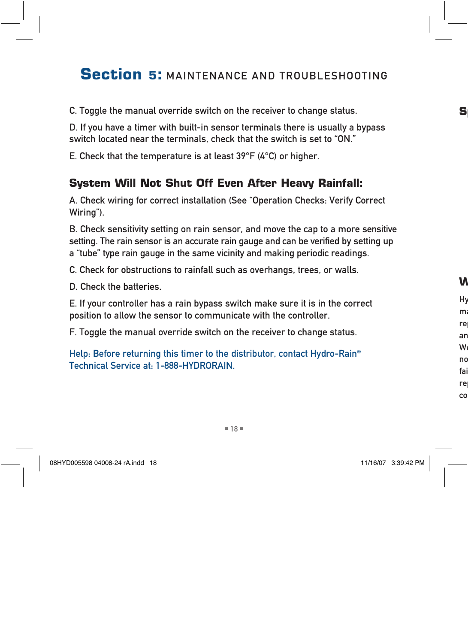# **Section 5: MAINTENANCE AND TROUBLESHOOTING**

C. Toggle the manual override switch on the receiver to change status.

D. If you have a timer with built-in sensor terminals there is usually a bypass switch located near the terminals, check that the switch is set to "ON."

E. Check that the temperature is at least 39°F (4°C) or higher.

### **System Will Not Shut Off Even After Heavy Rainfall:**

A. Check wiring for correct installation (See "Operation Checks: Verify Correct Wiring").

B. Check sensitivity setting on rain sensor, and move the cap to a more sensitive setting. The rain sensor is an accurate rain gauge and can be verified by setting up a "tube" type rain gauge in the same vicinity and making periodic readings.

C. Check for obstructions to rainfall such as overhangs, trees, or walls.

D. Check the batteries.

E. If your controller has a rain bypass switch make sure it is in the correct position to allow the sensor to communicate with the controller.

F. Toggle the manual override switch on the receiver to change status.

Help: Before returning this timer to the distributor, contact Hydro-Rain® Technical Service at: 1-888-HYDRORAIN.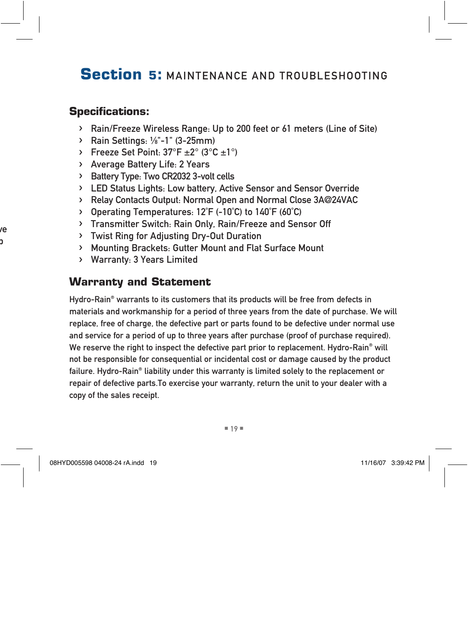# **Section 5:** maintenance and troubleshooting

### **Specifications:**

- › Rain/Freeze Wireless Range: Up to 200 feet or 61 meters (Line of Site)
- $\triangleright$  Rain Settings: 1/8"-1" (3-25mm)
- › Freeze Set Point: 37°F ±2° (3°C ±1°)
- › Average Battery Life: 2 Years
- › Battery Type: Two CR2032 3-volt cells
- › LED Status Lights: Low battery, Active Sensor and Sensor Override
- › Relay Contacts Output: Normal Open and Normal Close 3A@24VAC
- › Operating Temperatures: 12˚F (-10˚C) to 140˚F (60˚C)
- › Transmitter Switch: Rain Only, Rain/Freeze and Sensor Off
- › Twist Ring for Adjusting Dry-Out Duration
- › Mounting Brackets: Gutter Mount and Flat Surface Mount
- › Warranty: 3 Years Limited

### **Warranty and Statement**

Hydro-Rain® warrants to its customers that its products will be free from defects in materials and workmanship for a period of three years from the date of purchase. We will replace, free of charge, the defective part or parts found to be defective under normal use and service for a period of up to three years after purchase (proof of purchase required). We reserve the right to inspect the defective part prior to replacement. Hydro-Rain® will not be responsible for consequential or incidental cost or damage caused by the product failure. Hydro-Rain® liability under this warranty is limited solely to the replacement or repair of defective parts.To exercise your warranty, return the unit to your dealer with a copy of the sales receipt.